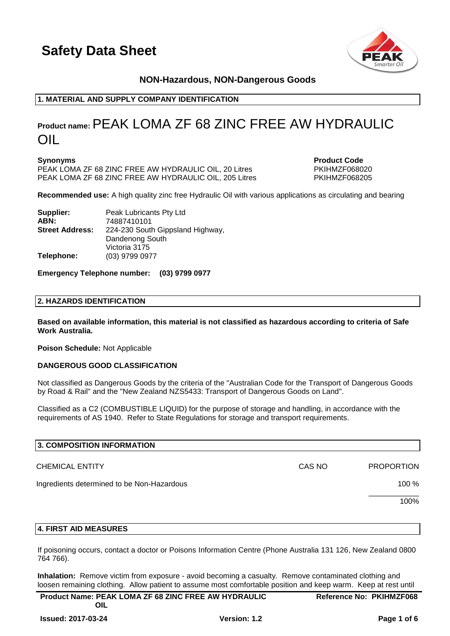

# **NON-Hazardous, NON-Dangerous Goods**

# **1. MATERIAL AND SUPPLY COMPANY IDENTIFICATION**

# **Product name:**PEAK LOMA ZF 68 ZINC FREE AW HYDRAULIC OIL

**Synonyms Product Code** PEAK LOMA ZF 68 ZINC FREE AW HYDRAULIC OIL, 20 Litres PKIHMZF068020 PEAK LOMA ZF 68 ZINC FREE AW HYDRAULIC OIL, 205 Litres PKIHMZF068205

**Recommended use:** A high quality zinc free Hydraulic Oil with various applications as circulating and bearing

| Supplier:              | Peak Lubricants Pty Ltd          |  |
|------------------------|----------------------------------|--|
| ABN:                   | 74887410101                      |  |
| <b>Street Address:</b> | 224-230 South Gippsland Highway, |  |
|                        | Dandenong South                  |  |
|                        | Victoria 3175                    |  |
| Telephone:             | (03) 9799 0977                   |  |

#### **Emergency Telephone number: (03) 9799 0977**

#### **2. HAZARDS IDENTIFICATION**

**Based on available information, this material is not classified as hazardous according to criteria of Safe Work Australia.**

**Poison Schedule:** Not Applicable

#### **DANGEROUS GOOD CLASSIFICATION**

Not classified as Dangerous Goods by the criteria of the "Australian Code for the Transport of Dangerous Goods by Road & Rail" and the "New Zealand NZS5433: Transport of Dangerous Goods on Land".

Classified as a C2 (COMBUSTIBLE LIQUID) for the purpose of storage and handling, in accordance with the requirements of AS 1940. Refer to State Regulations for storage and transport requirements.

| 3. COMPOSITION INFORMATION                 |        |                   |
|--------------------------------------------|--------|-------------------|
| <b>CHEMICAL ENTITY</b>                     | CAS NO | <b>PROPORTION</b> |
| Ingredients determined to be Non-Hazardous |        | 100 %             |
|                                            |        | 100%              |
|                                            |        |                   |

# **4. FIRST AID MEASURES**

If poisoning occurs, contact a doctor or Poisons Information Centre (Phone Australia 131 126, New Zealand 0800 764 766).

**Inhalation:** Remove victim from exposure - avoid becoming a casualty. Remove contaminated clothing and loosen remaining clothing. Allow patient to assume most comfortable position and keep warm. Keep at rest until

| <b>Product Name: PEAK LOMA ZF 68 ZINC FREE AW HYDRAULIC</b> | <b>Reference No: PKIHMZF068</b> |
|-------------------------------------------------------------|---------------------------------|
| OIL                                                         |                                 |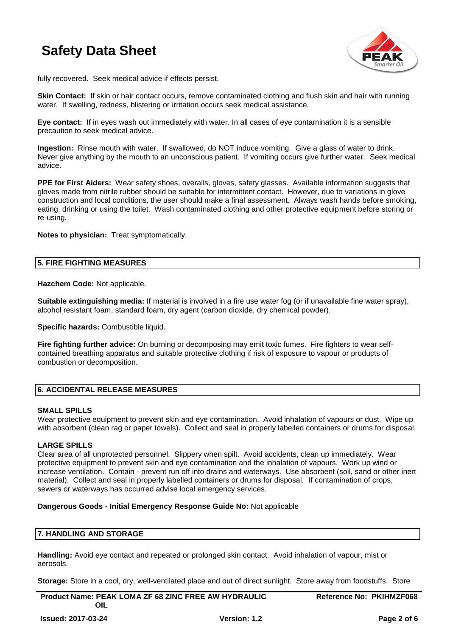

fully recovered. Seek medical advice if effects persist.

**Skin Contact:** If skin or hair contact occurs, remove contaminated clothing and flush skin and hair with running water. If swelling, redness, blistering or irritation occurs seek medical assistance.

**Eye contact:** If in eyes wash out immediately with water. In all cases of eye contamination it is a sensible precaution to seek medical advice.

**Ingestion:** Rinse mouth with water. If swallowed, do NOT induce vomiting. Give a glass of water to drink. Never give anything by the mouth to an unconscious patient. If vomiting occurs give further water. Seek medical advice.

**PPE for First Aiders:** Wear safety shoes, overalls, gloves, safety glasses. Available information suggests that gloves made from nitrile rubber should be suitable for intermittent contact. However, due to variations in glove construction and local conditions, the user should make a final assessment. Always wash hands before smoking, eating, drinking or using the toilet. Wash contaminated clothing and other protective equipment before storing or re-using.

**Notes to physician:** Treat symptomatically.

#### **5. FIRE FIGHTING MEASURES**

**Hazchem Code:** Not applicable.

**Suitable extinguishing media:** If material is involved in a fire use water fog (or if unavailable fine water spray), alcohol resistant foam, standard foam, dry agent (carbon dioxide, dry chemical powder).

**Specific hazards: Combustible liquid.** 

**Fire fighting further advice:** On burning or decomposing may emit toxic fumes. Fire fighters to wear selfcontained breathing apparatus and suitable protective clothing if risk of exposure to vapour or products of combustion or decomposition.

## **6. ACCIDENTAL RELEASE MEASURES**

#### **SMALL SPILLS**

Wear protective equipment to prevent skin and eye contamination. Avoid inhalation of vapours or dust. Wipe up with absorbent (clean rag or paper towels). Collect and seal in properly labelled containers or drums for disposal.

#### **LARGE SPILLS**

Clear area of all unprotected personnel. Slippery when spilt. Avoid accidents, clean up immediately. Wear protective equipment to prevent skin and eye contamination and the inhalation of vapours. Work up wind or increase ventilation. Contain - prevent run off into drains and waterways. Use absorbent (soil, sand or other inert material). Collect and seal in properly labelled containers or drums for disposal. If contamination of crops, sewers or waterways has occurred advise local emergency services.

#### **Dangerous Goods - Initial Emergency Response Guide No:** Not applicable

#### **7. HANDLING AND STORAGE**

**Handling:** Avoid eye contact and repeated or prolonged skin contact. Avoid inhalation of vapour, mist or aerosols.

**Storage:** Store in a cool, dry, well-ventilated place and out of direct sunlight. Store away from foodstuffs. Store

**Product Name: PEAK LOMA ZF 68 ZINC FREE AW HYDRAULIC OIL**

**Reference No: PKIHMZF068**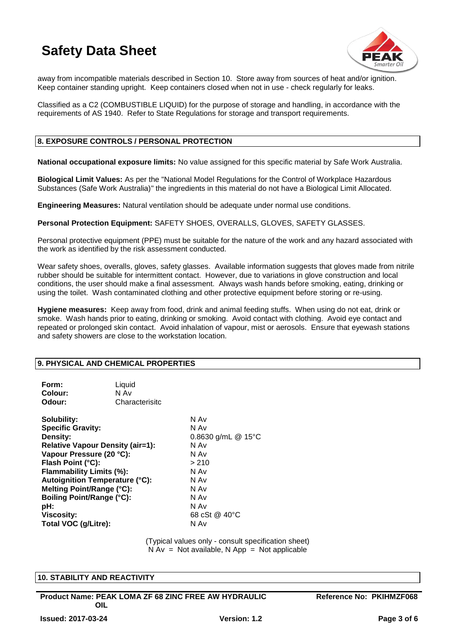

away from incompatible materials described in Section 10. Store away from sources of heat and/or ignition. Keep container standing upright. Keep containers closed when not in use - check regularly for leaks.

Classified as a C2 (COMBUSTIBLE LIQUID) for the purpose of storage and handling, in accordance with the requirements of AS 1940. Refer to State Regulations for storage and transport requirements.

## **8. EXPOSURE CONTROLS / PERSONAL PROTECTION**

**National occupational exposure limits:** No value assigned for this specific material by Safe Work Australia.

**Biological Limit Values:** As per the "National Model Regulations for the Control of Workplace Hazardous Substances (Safe Work Australia)" the ingredients in this material do not have a Biological Limit Allocated.

**Engineering Measures:** Natural ventilation should be adequate under normal use conditions.

**Personal Protection Equipment:** SAFETY SHOES, OVERALLS, GLOVES, SAFETY GLASSES.

Personal protective equipment (PPE) must be suitable for the nature of the work and any hazard associated with the work as identified by the risk assessment conducted.

Wear safety shoes, overalls, gloves, safety glasses. Available information suggests that gloves made from nitrile rubber should be suitable for intermittent contact. However, due to variations in glove construction and local conditions, the user should make a final assessment. Always wash hands before smoking, eating, drinking or using the toilet. Wash contaminated clothing and other protective equipment before storing or re-using.

**Hygiene measures:** Keep away from food, drink and animal feeding stuffs. When using do not eat, drink or smoke. Wash hands prior to eating, drinking or smoking. Avoid contact with clothing. Avoid eye contact and repeated or prolonged skin contact. Avoid inhalation of vapour, mist or aerosols. Ensure that eyewash stations and safety showers are close to the workstation location.

#### **9. PHYSICAL AND CHEMICAL PROPERTIES**

| Form:<br>Colour:<br>Odour:                                                                                                                                                                                                                                                                                                                | Liquid<br>N Av<br>Characterisitc |                                                                                                                              |
|-------------------------------------------------------------------------------------------------------------------------------------------------------------------------------------------------------------------------------------------------------------------------------------------------------------------------------------------|----------------------------------|------------------------------------------------------------------------------------------------------------------------------|
| Solubility:<br><b>Specific Gravity:</b><br>Density:<br><b>Relative Vapour Density (air=1):</b><br>Vapour Pressure (20 °C):<br>Flash Point (°C):<br>Flammability Limits (%):<br><b>Autoignition Temperature (°C):</b><br>Melting Point/Range (°C):<br><b>Boiling Point/Range (°C):</b><br>pH:<br><b>Viscosity:</b><br>Total VOC (g/Litre): |                                  | N Av<br>N Av<br>0.8630 g/mL @ 15°C<br>N Av<br>N Av<br>>210<br>N Av<br>N Av<br>N Av<br>N Av<br>N Av<br>68 cSt @ 40 °C<br>N Av |

(Typical values only - consult specification sheet)  $N Av = Not available, N App = Not applicable$ 

#### **10. STABILITY AND REACTIVITY**

**Product Name: PEAK LOMA ZF 68 ZINC FREE AW HYDRAULIC OIL**

**Reference No: PKIHMZF068**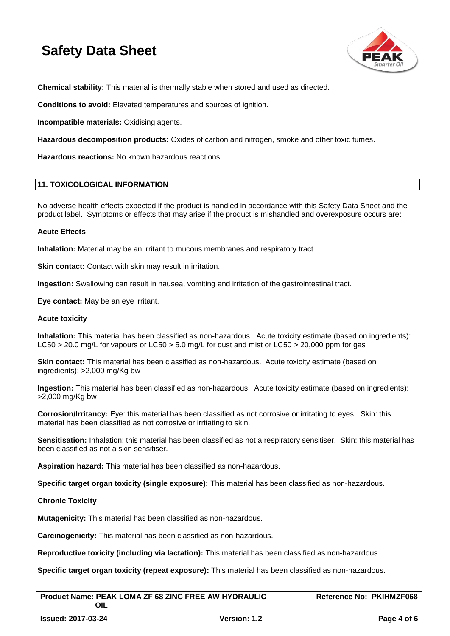

**Chemical stability:** This material is thermally stable when stored and used as directed.

**Conditions to avoid:** Elevated temperatures and sources of ignition.

**Incompatible materials:** Oxidising agents.

**Hazardous decomposition products:** Oxides of carbon and nitrogen, smoke and other toxic fumes.

**Hazardous reactions:** No known hazardous reactions.

#### **11. TOXICOLOGICAL INFORMATION**

No adverse health effects expected if the product is handled in accordance with this Safety Data Sheet and the product label. Symptoms or effects that may arise if the product is mishandled and overexposure occurs are:

#### **Acute Effects**

**Inhalation:** Material may be an irritant to mucous membranes and respiratory tract.

**Skin contact:** Contact with skin may result in irritation.

**Ingestion:** Swallowing can result in nausea, vomiting and irritation of the gastrointestinal tract.

**Eye contact:** May be an eye irritant.

#### **Acute toxicity**

**Inhalation:** This material has been classified as non-hazardous. Acute toxicity estimate (based on ingredients): LC50 > 20.0 mg/L for vapours or LC50 > 5.0 mg/L for dust and mist or LC50 > 20,000 ppm for gas

**Skin contact:** This material has been classified as non-hazardous. Acute toxicity estimate (based on ingredients): >2,000 mg/Kg bw

**Ingestion:** This material has been classified as non-hazardous. Acute toxicity estimate (based on ingredients): >2,000 mg/Kg bw

**Corrosion/Irritancy:** Eye: this material has been classified as not corrosive or irritating to eyes. Skin: this material has been classified as not corrosive or irritating to skin.

**Sensitisation:** Inhalation: this material has been classified as not a respiratory sensitiser. Skin: this material has been classified as not a skin sensitiser.

**Aspiration hazard:** This material has been classified as non-hazardous.

**Specific target organ toxicity (single exposure):** This material has been classified as non-hazardous.

#### **Chronic Toxicity**

**Mutagenicity:** This material has been classified as non-hazardous.

**Carcinogenicity:** This material has been classified as non-hazardous.

**Reproductive toxicity (including via lactation):** This material has been classified as non-hazardous.

**Specific target organ toxicity (repeat exposure):** This material has been classified as non-hazardous.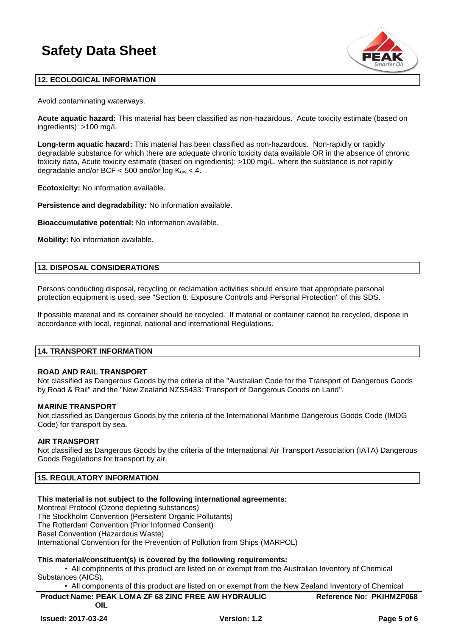

# **12. ECOLOGICAL INFORMATION**

Avoid contaminating waterways.

**Acute aquatic hazard:** This material has been classified as non-hazardous. Acute toxicity estimate (based on ingredients): >100 mg/L

**Long-term aquatic hazard:** This material has been classified as non-hazardous. Non-rapidly or rapidly degradable substance for which there are adequate chronic toxicity data available OR in the absence of chronic toxicity data, Acute toxicity estimate (based on ingredients): >100 mg/L, where the substance is not rapidly degradable and/or BCF  $<$  500 and/or log  $K_{ow}$   $<$  4.

**Ecotoxicity:** No information available.

**Persistence and degradability:** No information available.

**Bioaccumulative potential:** No information available.

**Mobility:** No information available.

#### **13. DISPOSAL CONSIDERATIONS**

Persons conducting disposal, recycling or reclamation activities should ensure that appropriate personal protection equipment is used, see "Section 8. Exposure Controls and Personal Protection" of this SDS.

If possible material and its container should be recycled. If material or container cannot be recycled, dispose in accordance with local, regional, national and international Regulations.

#### **14. TRANSPORT INFORMATION**

## **ROAD AND RAIL TRANSPORT**

Not classified as Dangerous Goods by the criteria of the "Australian Code for the Transport of Dangerous Goods by Road & Rail" and the "New Zealand NZS5433: Transport of Dangerous Goods on Land".

#### **MARINE TRANSPORT**

Not classified as Dangerous Goods by the criteria of the International Maritime Dangerous Goods Code (IMDG Code) for transport by sea.

## **AIR TRANSPORT**

Not classified as Dangerous Goods by the criteria of the International Air Transport Association (IATA) Dangerous Goods Regulations for transport by air.

# **15. REGULATORY INFORMATION**

## **This material is not subject to the following international agreements:**

Montreal Protocol (Ozone depleting substances) The Stockholm Convention (Persistent Organic Pollutants) The Rotterdam Convention (Prior Informed Consent)

Basel Convention (Hazardous Waste)

International Convention for the Prevention of Pollution from Ships (MARPOL)

## **This material/constituent(s) is covered by the following requirements:**

• All components of this product are listed on or exempt from the Australian Inventory of Chemical Substances (AICS).

• All components of this product are listed on or exempt from the New Zealand Inventory of Chemical

| <b>Product Name: PEAK LOMA ZF 68 ZINC FREE AW HYDRAULIC</b> | <b>Reference No: PKIHMZF068</b> |
|-------------------------------------------------------------|---------------------------------|
| OIL                                                         |                                 |